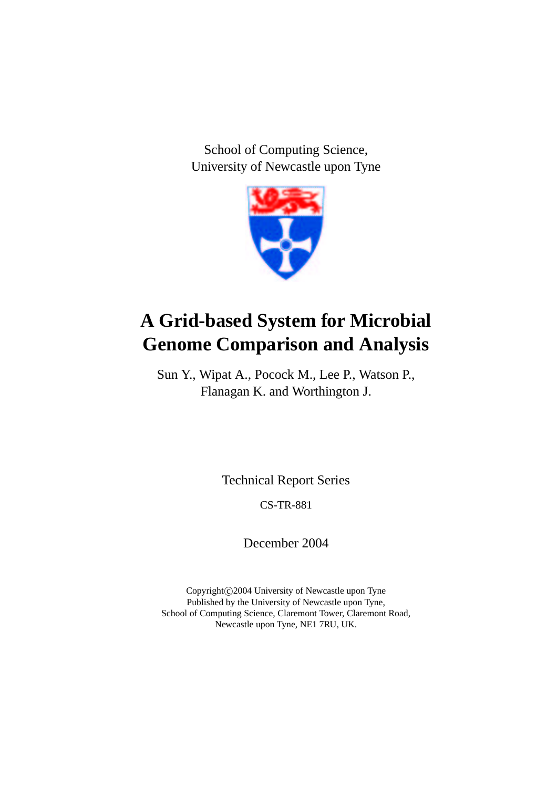School of Computing Science, University of Newcastle upon Tyne



# **A Grid-based System for Microbial Genome Comparison and Analysis**

Sun Y., Wipat A., Pocock M., Lee P., Watson P., Flanagan K. and Worthington J.

Technical Report Series

CS-TR-881

December 2004

Copyright C 2004 University of Newcastle upon Tyne Published by the University of Newcastle upon Tyne, School of Computing Science, Claremont Tower, Claremont Road, Newcastle upon Tyne, NE1 7RU, UK.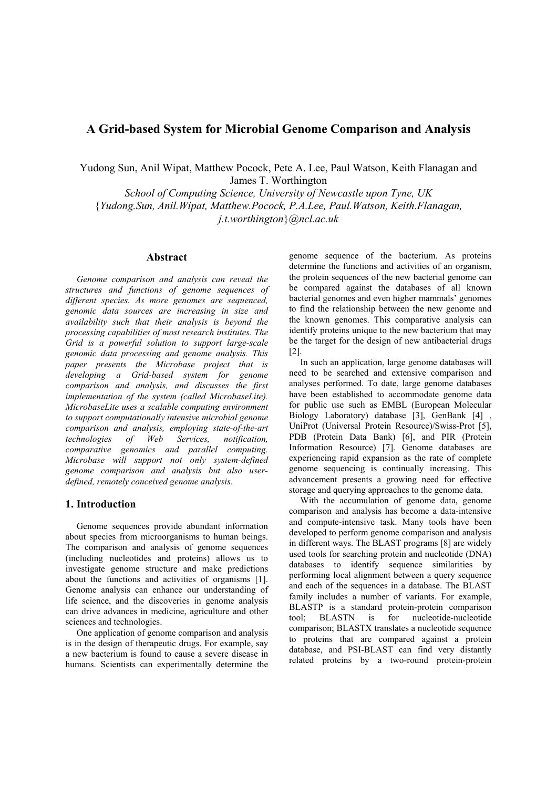# **A Grid-based System for Microbial Genome Comparison and Analysis**

Yudong Sun, Anil Wipat, Matthew Pocock, Pete A. Lee, Paul Watson, Keith Flanagan and James T. Worthington

*School of Computing Science, University of Newcastle upon Tyne, UK*  {*Yudong.Sun, Anil.Wipat, Matthew.Pocock, P.A.Lee, Paul.Watson, Keith.Flanagan, j.t.worthington*}*@ncl.ac.uk* 

#### **Abstract**

*Genome comparison and analysis can reveal the structures and functions of genome sequences of different species. As more genomes are sequenced, genomic data sources are increasing in size and availability such that their analysis is beyond the processing capabilities of most research institutes. The Grid is a powerful solution to support large-scale genomic data processing and genome analysis. This paper presents the Microbase project that is developing a Grid-based system for genome comparison and analysis, and discusses the first implementation of the system (called MicrobaseLite). MicrobaseLite uses a scalable computing environment to support computationally intensive microbial genome comparison and analysis, employing state-of-the-art technologies of Web Services, notification, comparative genomics and parallel computing. Microbase will support not only system-defined genome comparison and analysis but also userdefined, remotely conceived genome analysis.* 

#### **1. Introduction**

Genome sequences provide abundant information about species from microorganisms to human beings. The comparison and analysis of genome sequences (including nucleotides and proteins) allows us to investigate genome structure and make predictions about the functions and activities of organisms [1]. Genome analysis can enhance our understanding of life science, and the discoveries in genome analysis can drive advances in medicine, agriculture and other sciences and technologies.

One application of genome comparison and analysis is in the design of therapeutic drugs. For example, say a new bacterium is found to cause a severe disease in humans. Scientists can experimentally determine the genome sequence of the bacterium. As proteins determine the functions and activities of an organism, the protein sequences of the new bacterial genome can be compared against the databases of all known bacterial genomes and even higher mammals' genomes to find the relationship between the new genome and the known genomes. This comparative analysis can identify proteins unique to the new bacterium that may be the target for the design of new antibacterial drugs [2].

In such an application, large genome databases will need to be searched and extensive comparison and analyses performed. To date, large genome databases have been established to accommodate genome data for public use such as EMBL (European Molecular Biology Laboratory) database [3], GenBank [4] , UniProt (Universal Protein Resource)/Swiss-Prot [5], PDB (Protein Data Bank) [6], and PIR (Protein Information Resource) [7]. Genome databases are experiencing rapid expansion as the rate of complete genome sequencing is continually increasing. This advancement presents a growing need for effective storage and querying approaches to the genome data.

With the accumulation of genome data, genome comparison and analysis has become a data-intensive and compute-intensive task. Many tools have been developed to perform genome comparison and analysis in different ways. The BLAST programs [8] are widely used tools for searching protein and nucleotide (DNA) databases to identify sequence similarities by performing local alignment between a query sequence and each of the sequences in a database. The BLAST family includes a number of variants. For example, BLASTP is a standard protein-protein comparison tool; BLASTN is for nucleotide-nucleotide comparison; BLASTX translates a nucleotide sequence to proteins that are compared against a protein database, and PSI-BLAST can find very distantly related proteins by a two-round protein-protein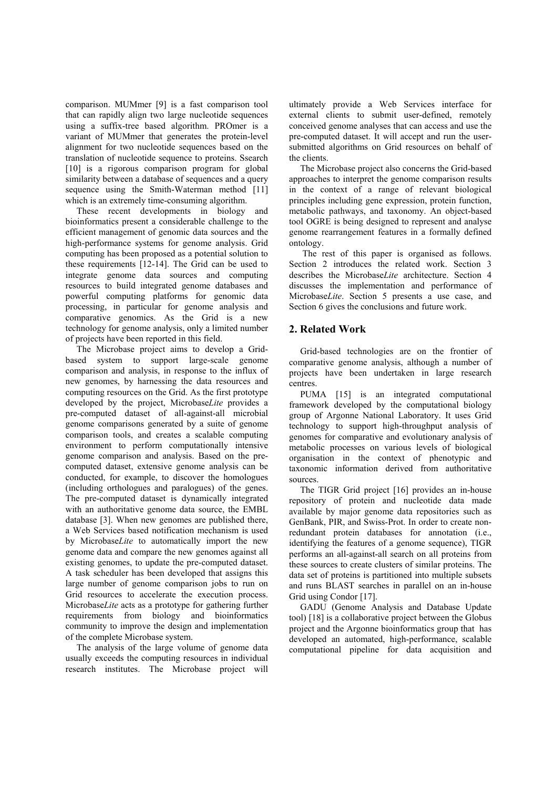comparison. MUMmer [9] is a fast comparison tool that can rapidly align two large nucleotide sequences using a suffix-tree based algorithm. PROmer is a variant of MUMmer that generates the protein-level alignment for two nucleotide sequences based on the translation of nucleotide sequence to proteins. Ssearch [10] is a rigorous comparison program for global similarity between a database of sequences and a query sequence using the Smith-Waterman method [11] which is an extremely time-consuming algorithm.

These recent developments in biology and bioinformatics present a considerable challenge to the efficient management of genomic data sources and the high-performance systems for genome analysis. Grid computing has been proposed as a potential solution to these requirements [12-14]. The Grid can be used to integrate genome data sources and computing resources to build integrated genome databases and powerful computing platforms for genomic data processing, in particular for genome analysis and comparative genomics. As the Grid is a new technology for genome analysis, only a limited number of projects have been reported in this field.

The Microbase project aims to develop a Gridbased system to support large-scale genome comparison and analysis, in response to the influx of new genomes, by harnessing the data resources and computing resources on the Grid. As the first prototype developed by the project, Microbase*Lite* provides a pre-computed dataset of all-against-all microbial genome comparisons generated by a suite of genome comparison tools, and creates a scalable computing environment to perform computationally intensive genome comparison and analysis. Based on the precomputed dataset, extensive genome analysis can be conducted, for example, to discover the homologues (including orthologues and paralogues) of the genes. The pre-computed dataset is dynamically integrated with an authoritative genome data source, the EMBL database [3]. When new genomes are published there, a Web Services based notification mechanism is used by Microbase*Lite* to automatically import the new genome data and compare the new genomes against all existing genomes, to update the pre-computed dataset. A task scheduler has been developed that assigns this large number of genome comparison jobs to run on Grid resources to accelerate the execution process. Microbase*Lite* acts as a prototype for gathering further requirements from biology and bioinformatics community to improve the design and implementation of the complete Microbase system.

The analysis of the large volume of genome data usually exceeds the computing resources in individual research institutes. The Microbase project will

ultimately provide a Web Services interface for external clients to submit user-defined, remotely conceived genome analyses that can access and use the pre-computed dataset. It will accept and run the usersubmitted algorithms on Grid resources on behalf of the clients.

The Microbase project also concerns the Grid-based approaches to interpret the genome comparison results in the context of a range of relevant biological principles including gene expression, protein function, metabolic pathways, and taxonomy. An object-based tool OGRE is being designed to represent and analyse genome rearrangement features in a formally defined ontology.

 The rest of this paper is organised as follows. Section 2 introduces the related work. Section 3 describes the Microbase*Lite* architecture. Section 4 discusses the implementation and performance of Microbase*Lite*. Section 5 presents a use case, and Section 6 gives the conclusions and future work.

# **2. Related Work**

Grid-based technologies are on the frontier of comparative genome analysis, although a number of projects have been undertaken in large research centres.

PUMA [15] is an integrated computational framework developed by the computational biology group of Argonne National Laboratory. It uses Grid technology to support high-throughput analysis of genomes for comparative and evolutionary analysis of metabolic processes on various levels of biological organisation in the context of phenotypic and taxonomic information derived from authoritative sources.

The TIGR Grid project [16] provides an in-house repository of protein and nucleotide data made available by major genome data repositories such as GenBank, PIR, and Swiss-Prot. In order to create nonredundant protein databases for annotation (i.e., identifying the features of a genome sequence), TIGR performs an all-against-all search on all proteins from these sources to create clusters of similar proteins. The data set of proteins is partitioned into multiple subsets and runs BLAST searches in parallel on an in-house Grid using Condor [17].

GADU (Genome Analysis and Database Update tool) [18] is a collaborative project between the Globus project and the Argonne bioinformatics group that has developed an automated, high-performance, scalable computational pipeline for data acquisition and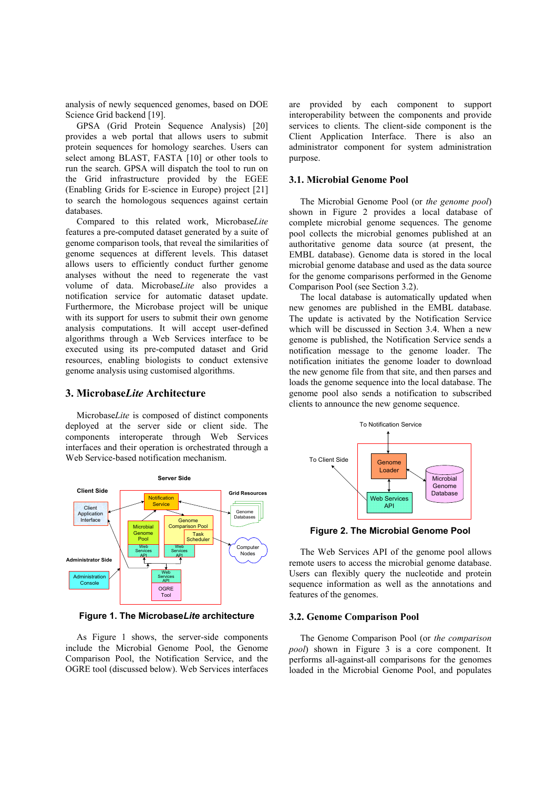analysis of newly sequenced genomes, based on DOE Science Grid backend [19].

GPSA (Grid Protein Sequence Analysis) [20] provides a web portal that allows users to submit protein sequences for homology searches. Users can select among BLAST, FASTA [10] or other tools to run the search. GPSA will dispatch the tool to run on the Grid infrastructure provided by the EGEE (Enabling Grids for E-science in Europe) project [21] to search the homologous sequences against certain databases.

Compared to this related work, Microbase*Lite* features a pre-computed dataset generated by a suite of genome comparison tools, that reveal the similarities of genome sequences at different levels. This dataset allows users to efficiently conduct further genome analyses without the need to regenerate the vast volume of data. Microbase*Lite* also provides a notification service for automatic dataset update. Furthermore, the Microbase project will be unique with its support for users to submit their own genome analysis computations. It will accept user-defined algorithms through a Web Services interface to be executed using its pre-computed dataset and Grid resources, enabling biologists to conduct extensive genome analysis using customised algorithms.

# **3. Microbase***Lite* **Architecture**

Microbase*Lite* is composed of distinct components deployed at the server side or client side. The components interoperate through Web Services interfaces and their operation is orchestrated through a Web Service-based notification mechanism.



**Figure 1. The Microbase***Lite* **architecture** 

As Figure 1 shows, the server-side components include the Microbial Genome Pool, the Genome Comparison Pool, the Notification Service, and the OGRE tool (discussed below). Web Services interfaces are provided by each component to support interoperability between the components and provide services to clients. The client-side component is the Client Application Interface. There is also an administrator component for system administration purpose.

#### **3.1. Microbial Genome Pool**

The Microbial Genome Pool (or *the genome pool*) shown in Figure 2 provides a local database of complete microbial genome sequences. The genome pool collects the microbial genomes published at an authoritative genome data source (at present, the EMBL database). Genome data is stored in the local microbial genome database and used as the data source for the genome comparisons performed in the Genome Comparison Pool (see Section 3.2).

The local database is automatically updated when new genomes are published in the EMBL database. The update is activated by the Notification Service which will be discussed in Section 3.4. When a new genome is published, the Notification Service sends a notification message to the genome loader. The notification initiates the genome loader to download the new genome file from that site, and then parses and loads the genome sequence into the local database. The genome pool also sends a notification to subscribed clients to announce the new genome sequence.



**Figure 2. The Microbial Genome Pool** 

The Web Services API of the genome pool allows remote users to access the microbial genome database. Users can flexibly query the nucleotide and protein sequence information as well as the annotations and features of the genomes.

#### **3.2. Genome Comparison Pool**

The Genome Comparison Pool (or *the comparison pool*) shown in Figure 3 is a core component. It performs all-against-all comparisons for the genomes loaded in the Microbial Genome Pool, and populates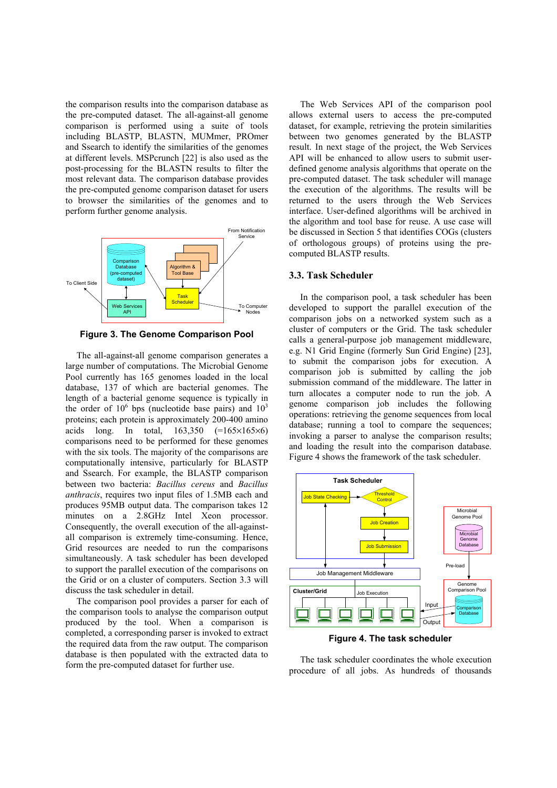the comparison results into the comparison database as the pre-computed dataset. The all-against-all genome comparison is performed using a suite of tools including BLASTP, BLASTN, MUMmer, PROmer and Ssearch to identify the similarities of the genomes at different levels. MSPcrunch [22] is also used as the post-processing for the BLASTN results to filter the most relevant data. The comparison database provides the pre-computed genome comparison dataset for users to browser the similarities of the genomes and to perform further genome analysis.



**Figure 3. The Genome Comparison Pool** 

The all-against-all genome comparison generates a large number of computations. The Microbial Genome Pool currently has 165 genomes loaded in the local database, 137 of which are bacterial genomes. The length of a bacterial genome sequence is typically in the order of  $10^6$  bps (nucleotide base pairs) and  $10^3$ proteins; each protein is approximately 200-400 amino acids long. In total,  $163,350$   $(=165\times165\times6)$ comparisons need to be performed for these genomes with the six tools. The majority of the comparisons are computationally intensive, particularly for BLASTP and Ssearch. For example, the BLASTP comparison between two bacteria: *Bacillus cereus* and *Bacillus anthracis*, requires two input files of 1.5MB each and produces 95MB output data. The comparison takes 12 minutes on a 2.8GHz Intel Xeon processor. Consequently, the overall execution of the all-againstall comparison is extremely time-consuming. Hence, Grid resources are needed to run the comparisons simultaneously. A task scheduler has been developed to support the parallel execution of the comparisons on the Grid or on a cluster of computers. Section 3.3 will discuss the task scheduler in detail.

The comparison pool provides a parser for each of the comparison tools to analyse the comparison output produced by the tool. When a comparison is completed, a corresponding parser is invoked to extract the required data from the raw output. The comparison database is then populated with the extracted data to form the pre-computed dataset for further use.

The Web Services API of the comparison pool allows external users to access the pre-computed dataset, for example, retrieving the protein similarities between two genomes generated by the BLASTP result. In next stage of the project, the Web Services API will be enhanced to allow users to submit userdefined genome analysis algorithms that operate on the pre-computed dataset. The task scheduler will manage the execution of the algorithms. The results will be returned to the users through the Web Services interface. User-defined algorithms will be archived in the algorithm and tool base for reuse. A use case will be discussed in Section 5 that identifies COGs (clusters of orthologous groups) of proteins using the precomputed BLASTP results.

#### **3.3. Task Scheduler**

In the comparison pool, a task scheduler has been developed to support the parallel execution of the comparison jobs on a networked system such as a cluster of computers or the Grid. The task scheduler calls a general-purpose job management middleware, e.g. N1 Grid Engine (formerly Sun Grid Engine) [23], to submit the comparison jobs for execution. A comparison job is submitted by calling the job submission command of the middleware. The latter in turn allocates a computer node to run the job. A genome comparison job includes the following operations: retrieving the genome sequences from local database; running a tool to compare the sequences; invoking a parser to analyse the comparison results; and loading the result into the comparison database. Figure 4 shows the framework of the task scheduler.



**Figure 4. The task scheduler** 

The task scheduler coordinates the whole execution procedure of all jobs. As hundreds of thousands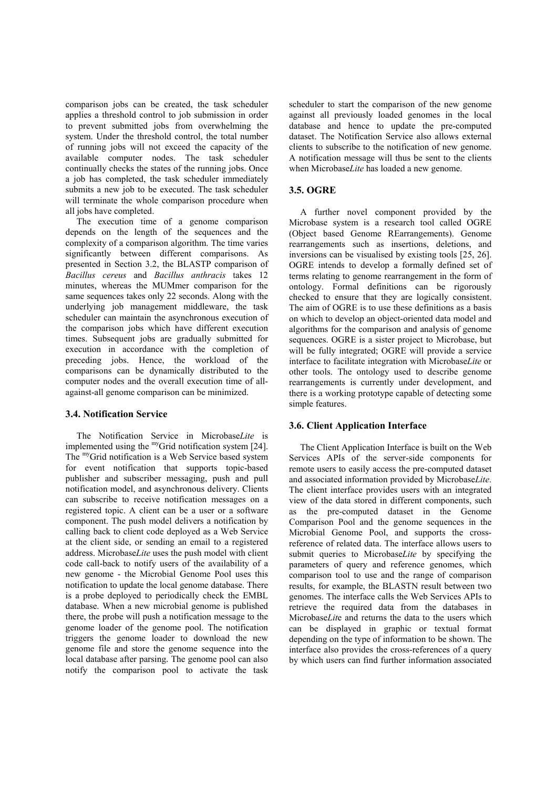comparison jobs can be created, the task scheduler applies a threshold control to job submission in order to prevent submitted jobs from overwhelming the system. Under the threshold control, the total number of running jobs will not exceed the capacity of the available computer nodes. The task scheduler continually checks the states of the running jobs. Once a job has completed, the task scheduler immediately submits a new job to be executed. The task scheduler will terminate the whole comparison procedure when all jobs have completed.

The execution time of a genome comparison depends on the length of the sequences and the complexity of a comparison algorithm. The time varies significantly between different comparisons. As presented in Section 3.2, the BLASTP comparison of *Bacillus cereus* and *Bacillus anthracis* takes 12 minutes, whereas the MUMmer comparison for the same sequences takes only 22 seconds. Along with the underlying job management middleware, the task scheduler can maintain the asynchronous execution of the comparison jobs which have different execution times. Subsequent jobs are gradually submitted for execution in accordance with the completion of preceding jobs. Hence, the workload of the comparisons can be dynamically distributed to the computer nodes and the overall execution time of allagainst-all genome comparison can be minimized.

# **3.4. Notification Service**

The Notification Service in Microbase*Lite* is implemented using the <sup>my</sup>Grid notification system [24]. The myGrid notification is a Web Service based system for event notification that supports topic-based publisher and subscriber messaging, push and pull notification model, and asynchronous delivery. Clients can subscribe to receive notification messages on a registered topic. A client can be a user or a software component. The push model delivers a notification by calling back to client code deployed as a Web Service at the client side, or sending an email to a registered address. Microbase*Lite* uses the push model with client code call-back to notify users of the availability of a new genome - the Microbial Genome Pool uses this notification to update the local genome database. There is a probe deployed to periodically check the EMBL database. When a new microbial genome is published there, the probe will push a notification message to the genome loader of the genome pool. The notification triggers the genome loader to download the new genome file and store the genome sequence into the local database after parsing. The genome pool can also notify the comparison pool to activate the task

scheduler to start the comparison of the new genome against all previously loaded genomes in the local database and hence to update the pre-computed dataset. The Notification Service also allows external clients to subscribe to the notification of new genome. A notification message will thus be sent to the clients when Microbase*Lite* has loaded a new genome.

# **3.5. OGRE**

A further novel component provided by the Microbase system is a research tool called OGRE (Object based Genome REarrangements). Genome rearrangements such as insertions, deletions, and inversions can be visualised by existing tools [25, 26]. OGRE intends to develop a formally defined set of terms relating to genome rearrangement in the form of ontology. Formal definitions can be rigorously checked to ensure that they are logically consistent. The aim of OGRE is to use these definitions as a basis on which to develop an object-oriented data model and algorithms for the comparison and analysis of genome sequences. OGRE is a sister project to Microbase, but will be fully integrated; OGRE will provide a service interface to facilitate integration with Microbase*Lite* or other tools. The ontology used to describe genome rearrangements is currently under development, and there is a working prototype capable of detecting some simple features.

# **3.6. Client Application Interface**

The Client Application Interface is built on the Web Services APIs of the server-side components for remote users to easily access the pre-computed dataset and associated information provided by Microbase*Lite*. The client interface provides users with an integrated view of the data stored in different components, such as the pre-computed dataset in the Genome Comparison Pool and the genome sequences in the Microbial Genome Pool, and supports the crossreference of related data. The interface allows users to submit queries to Microbase*Lite* by specifying the parameters of query and reference genomes, which comparison tool to use and the range of comparison results, for example, the BLASTN result between two genomes. The interface calls the Web Services APIs to retrieve the required data from the databases in Microbase*Lit*e and returns the data to the users which can be displayed in graphic or textual format depending on the type of information to be shown. The interface also provides the cross-references of a query by which users can find further information associated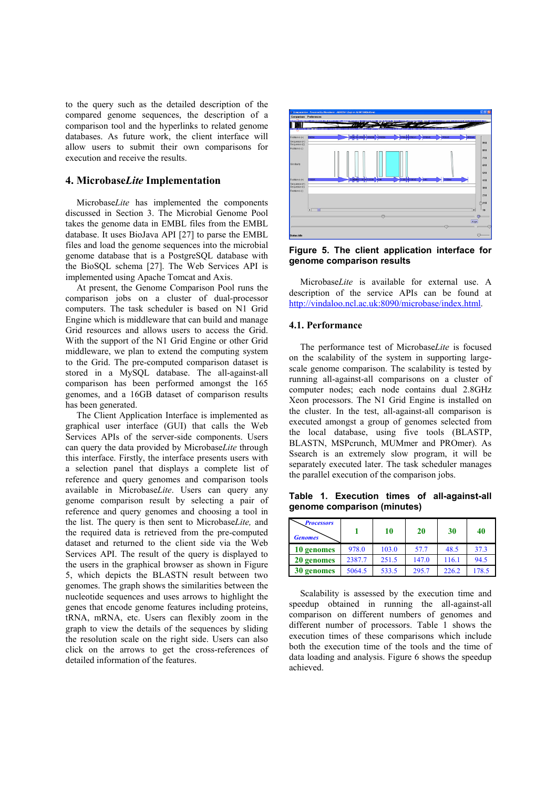to the query such as the detailed description of the compared genome sequences, the description of a comparison tool and the hyperlinks to related genome databases. As future work, the client interface will allow users to submit their own comparisons for execution and receive the results.

#### **4. Microbase***Lite* **Implementation**

Microbase*Lite* has implemented the components discussed in Section 3. The Microbial Genome Pool takes the genome data in EMBL files from the EMBL database. It uses BioJava API [27] to parse the EMBL files and load the genome sequences into the microbial genome database that is a PostgreSQL database with the BioSQL schema [27]. The Web Services API is implemented using Apache Tomcat and Axis.

At present, the Genome Comparison Pool runs the comparison jobs on a cluster of dual-processor computers. The task scheduler is based on N1 Grid Engine which is middleware that can build and manage Grid resources and allows users to access the Grid. With the support of the N1 Grid Engine or other Grid middleware, we plan to extend the computing system to the Grid. The pre-computed comparison dataset is stored in a MySQL database. The all-against-all comparison has been performed amongst the 165 genomes, and a 16GB dataset of comparison results has been generated.

The Client Application Interface is implemented as graphical user interface (GUI) that calls the Web Services APIs of the server-side components. Users can query the data provided by Microbase*Lite* through this interface. Firstly, the interface presents users with a selection panel that displays a complete list of reference and query genomes and comparison tools available in Microbase*Lite*. Users can query any genome comparison result by selecting a pair of reference and query genomes and choosing a tool in the list. The query is then sent to Microbase*Lite,* and the required data is retrieved from the pre-computed dataset and returned to the client side via the Web Services API. The result of the query is displayed to the users in the graphical browser as shown in Figure 5, which depicts the BLASTN result between two genomes. The graph shows the similarities between the nucleotide sequences and uses arrows to highlight the genes that encode genome features including proteins, tRNA, mRNA, etc. Users can flexibly zoom in the graph to view the details of the sequences by sliding the resolution scale on the right side. Users can also click on the arrows to get the cross-references of detailed information of the features.



**Figure 5. The client application interface for genome comparison results** 

Microbase*Lite* is available for external use. A description of the service APIs can be found at http://vindaloo.ncl.ac.uk:8090/microbase/index.html.

#### **4.1. Performance**

The performance test of Microbase*Lite* is focused on the scalability of the system in supporting largescale genome comparison. The scalability is tested by running all-against-all comparisons on a cluster of computer nodes; each node contains dual 2.8GHz Xeon processors. The N1 Grid Engine is installed on the cluster. In the test, all-against-all comparison is executed amongst a group of genomes selected from the local database, using five tools (BLASTP, BLASTN, MSPcrunch, MUMmer and PROmer). As Ssearch is an extremely slow program, it will be separately executed later. The task scheduler manages the parallel execution of the comparison jobs.

**Table 1. Execution times of all-against-all genome comparison (minutes)** 

| <b>Processors</b><br><b>Genomes</b> |        | 10    | 20    | 30    | 40    |
|-------------------------------------|--------|-------|-------|-------|-------|
| 10 genomes                          | 978.0  | 103.0 | 57.7  | 48.5  | 37.3  |
| 20 genomes                          | 2387.7 | 251.5 | 147.0 | 116.1 | 94.5  |
| 30 genomes                          | 5064.5 | 533.5 | 295.7 | 226.2 | 178.5 |

Scalability is assessed by the execution time and speedup obtained in running the all-against-all comparison on different numbers of genomes and different number of processors. Table 1 shows the execution times of these comparisons which include both the execution time of the tools and the time of data loading and analysis. Figure 6 shows the speedup achieved.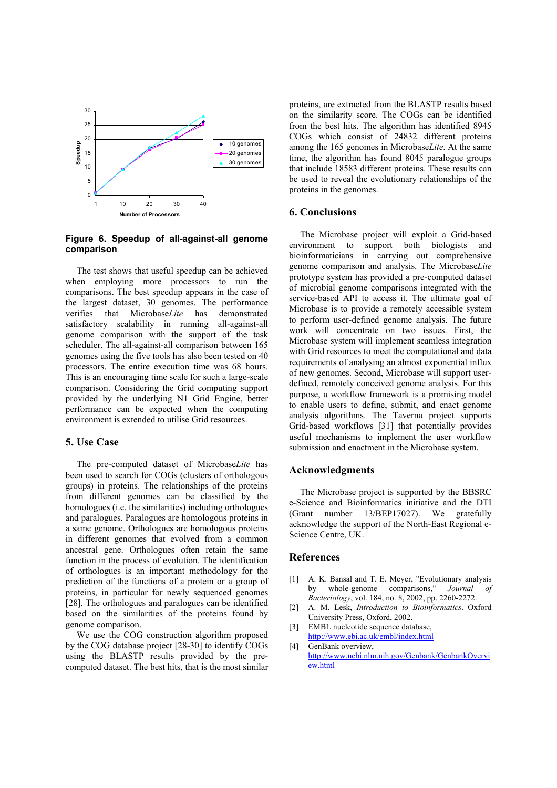

**Figure 6. Speedup of all-against-all genome comparison** 

The test shows that useful speedup can be achieved when employing more processors to run the comparisons. The best speedup appears in the case of the largest dataset, 30 genomes. The performance verifies that Microbase*Lite* has demonstrated satisfactory scalability in running all-against-all genome comparison with the support of the task scheduler. The all-against-all comparison between 165 genomes using the five tools has also been tested on 40 processors. The entire execution time was 68 hours. This is an encouraging time scale for such a large-scale comparison. Considering the Grid computing support provided by the underlying N1 Grid Engine, better performance can be expected when the computing environment is extended to utilise Grid resources.

#### **5. Use Case**

The pre-computed dataset of Microbase*Lite* has been used to search for COGs (clusters of orthologous groups) in proteins. The relationships of the proteins from different genomes can be classified by the homologues (i.e. the similarities) including orthologues and paralogues. Paralogues are homologous proteins in a same genome. Orthologues are homologous proteins in different genomes that evolved from a common ancestral gene. Orthologues often retain the same function in the process of evolution. The identification of orthologues is an important methodology for the prediction of the functions of a protein or a group of proteins, in particular for newly sequenced genomes [28]. The orthologues and paralogues can be identified based on the similarities of the proteins found by genome comparison.

We use the COG construction algorithm proposed by the COG database project [28-30] to identify COGs using the BLASTP results provided by the precomputed dataset. The best hits, that is the most similar

proteins, are extracted from the BLASTP results based on the similarity score. The COGs can be identified from the best hits. The algorithm has identified 8945 COGs which consist of 24832 different proteins among the 165 genomes in Microbase*Lite*. At the same time, the algorithm has found 8045 paralogue groups that include 18583 different proteins. These results can be used to reveal the evolutionary relationships of the proteins in the genomes.

### **6. Conclusions**

The Microbase project will exploit a Grid-based environment to support both biologists and bioinformaticians in carrying out comprehensive genome comparison and analysis. The Microbase*Lite* prototype system has provided a pre-computed dataset of microbial genome comparisons integrated with the service-based API to access it. The ultimate goal of Microbase is to provide a remotely accessible system to perform user-defined genome analysis. The future work will concentrate on two issues. First, the Microbase system will implement seamless integration with Grid resources to meet the computational and data requirements of analysing an almost exponential influx of new genomes. Second, Microbase will support userdefined, remotely conceived genome analysis. For this purpose, a workflow framework is a promising model to enable users to define, submit, and enact genome analysis algorithms. The Taverna project supports Grid-based workflows [31] that potentially provides useful mechanisms to implement the user workflow submission and enactment in the Microbase system.

#### **Acknowledgments**

The Microbase project is supported by the BBSRC e-Science and Bioinformatics initiative and the DTI (Grant number 13/BEP17027). We gratefully acknowledge the support of the North-East Regional e-Science Centre, UK.

# **References**

- [1] A. K. Bansal and T. E. Meyer, "Evolutionary analysis by whole-genome comparisons," *Journal Bacteriology*, vol. 184, no. 8, 2002, pp. 2260-2272.
- [2] A. M. Lesk, *Introduction to Bioinformatics*. Oxford University Press, Oxford, 2002.
- [3] EMBL nucleotide sequence database, http://www.ebi.ac.uk/embl/index.html [4] GenBank overview,
- http://www.ncbi.nlm.nih.gov/Genbank/GenbankOvervi ew.html